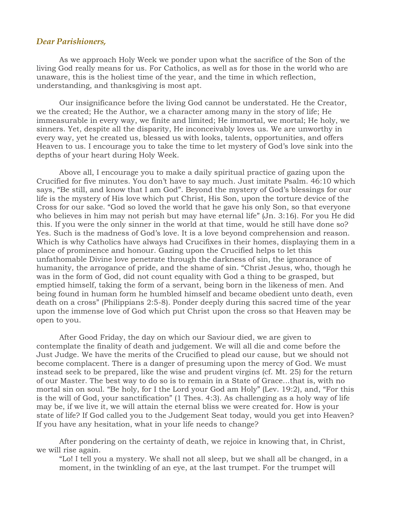## *Dear Parishioners,*

As we approach Holy Week we ponder upon what the sacrifice of the Son of the living God really means for us. For Catholics, as well as for those in the world who are unaware, this is the holiest time of the year, and the time in which reflection, understanding, and thanksgiving is most apt.

Our insignificance before the living God cannot be understated. He the Creator, we the created; He the Author, we a character among many in the story of life; He immeasurable in every way, we finite and limited; He immortal, we mortal; He holy, we sinners. Yet, despite all the disparity, He inconceivably loves us. We are unworthy in every way, yet he created us, blessed us with looks, talents, opportunities, and offers Heaven to us. I encourage you to take the time to let mystery of God's love sink into the depths of your heart during Holy Week.

Above all, I encourage you to make a daily spiritual practice of gazing upon the Crucified for five minutes. You don't have to say much. Just imitate Psalm. 46:10 which says, "Be still, and know that I am God". Beyond the mystery of God's blessings for our life is the mystery of His love which put Christ, His Son, upon the torture device of the Cross for our sake. "God so loved the world that he gave his only Son, so that everyone who believes in him may not perish but may have eternal life" (Jn. 3:16). For you He did this. If you were the only sinner in the world at that time, would he still have done so? Yes. Such is the madness of God's love. It is a love beyond comprehension and reason. Which is why Catholics have always had Crucifixes in their homes, displaying them in a place of prominence and honour. Gazing upon the Crucified helps to let this unfathomable Divine love penetrate through the darkness of sin, the ignorance of humanity, the arrogance of pride, and the shame of sin. "Christ Jesus, who, though he was in the form of God, did not count equality with God a thing to be grasped, but emptied himself, taking the form of a servant, being born in the likeness of men. And being found in human form he humbled himself and became obedient unto death, even death on a cross" (Philippians 2:5-8). Ponder deeply during this sacred time of the year upon the immense love of God which put Christ upon the cross so that Heaven may be open to you.

After Good Friday, the day on which our Saviour died, we are given to contemplate the finality of death and judgement. We will all die and come before the Just Judge. We have the merits of the Crucified to plead our cause, but we should not become complacent. There is a danger of presuming upon the mercy of God. We must instead seek to be prepared, like the wise and prudent virgins (cf. Mt. 25) for the return of our Master. The best way to do so is to remain in a State of Grace...that is, with no mortal sin on soul. "Be holy, for I the Lord your God am Holy" (Lev. 19:2), and, "For this is the will of God, your sanctification" (1 Thes. 4:3). As challenging as a holy way of life may be, if we live it, we will attain the eternal bliss we were created for. How is your state of life? If God called you to the Judgement Seat today, would you get into Heaven? If you have any hesitation, what in your life needs to change?

After pondering on the certainty of death, we rejoice in knowing that, in Christ, we will rise again.

"Lo! I tell you a mystery. We shall not all sleep, but we shall all be changed, in a moment, in the twinkling of an eye, at the last trumpet. For the trumpet will